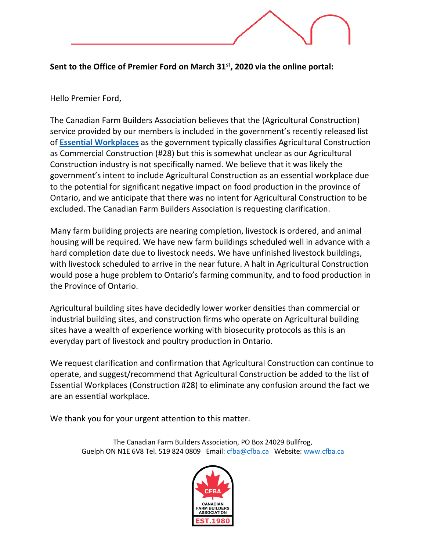**Sent to the Office of Premier Ford on March 31st, 2020 via the online portal:**

Hello Premier Ford,

The Canadian Farm Builders Association believes that the (Agricultural Construction) service provided by our members is included in the government's recently released list of **[Essential Workplaces](https://s3.amazonaws.com/files.news.ontario.ca/opo/en/2020/03/list-of-essential-workplaces-2.html)** as the government typically classifies Agricultural Construction as Commercial Construction (#28) but this is somewhat unclear as our Agricultural Construction industry is not specifically named. We believe that it was likely the government's intent to include Agricultural Construction as an essential workplace due to the potential for significant negative impact on food production in the province of Ontario, and we anticipate that there was no intent for Agricultural Construction to be excluded. The Canadian Farm Builders Association is requesting clarification.

Many farm building projects are nearing completion, livestock is ordered, and animal housing will be required. We have new farm buildings scheduled well in advance with a hard completion date due to livestock needs. We have unfinished livestock buildings, with livestock scheduled to arrive in the near future. A halt in Agricultural Construction would pose a huge problem to Ontario's farming community, and to food production in the Province of Ontario.

Agricultural building sites have decidedly lower worker densities than commercial or industrial building sites, and construction firms who operate on Agricultural building sites have a wealth of experience working with biosecurity protocols as this is an everyday part of livestock and poultry production in Ontario.

We request clarification and confirmation that Agricultural Construction can continue to operate, and suggest/recommend that Agricultural Construction be added to the list of Essential Workplaces (Construction #28) to eliminate any confusion around the fact we are an essential workplace.

We thank you for your urgent attention to this matter.

The Canadian Farm Builders Association, PO Box 24029 Bullfrog, Guelph ON N1E 6V8 Tel. 519 824 0809 Email: [cfba@cfba.ca](mailto:cfba@cfba.ca) Website: [www.cfba.ca](http://www.cfba.ca/)

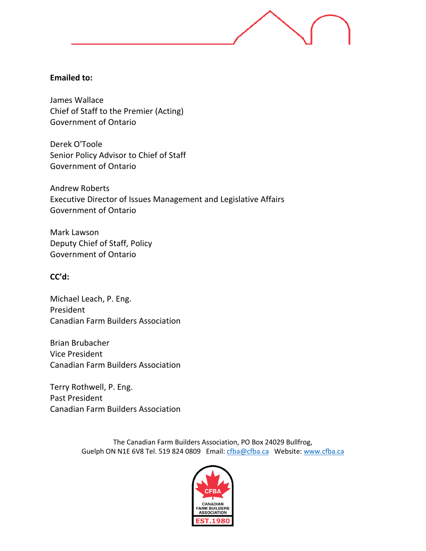## **Emailed to:**

James Wallace Chief of Staff to the Premier (Acting) Government of Ontario

Derek O'Toole Senior Policy Advisor to Chief of Staff Government of Ontario

Andrew Roberts Executive Director of Issues Management and Legislative Affairs Government of Ontario

Mark Lawson Deputy Chief of Staff, Policy Government of Ontario

## **CC'd:**

Michael Leach, P. Eng. President Canadian Farm Builders Association

Brian Brubacher Vice President Canadian Farm Builders Association

Terry Rothwell, P. Eng. Past President Canadian Farm Builders Association

> The Canadian Farm Builders Association, PO Box 24029 Bullfrog, Guelph ON N1E 6V8 Tel. 519 824 0809 Email: [cfba@cfba.ca](mailto:cfba@cfba.ca) Website: [www.cfba.ca](http://www.cfba.ca/)